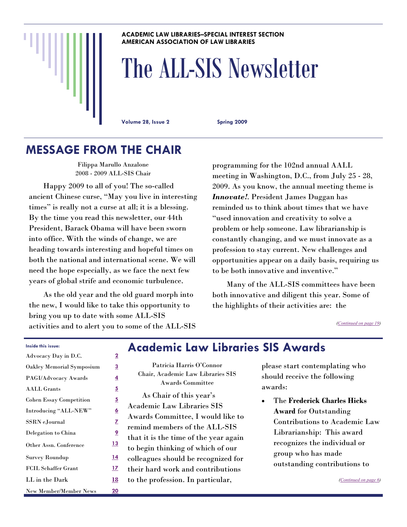### **ACADEMIC LAW LIBRARIES–SPECIAL INTEREST SECTION AMERICAN ASSOCIATION OF LAW LIBRARIES**

# The ALL-SIS Newsletter

**Volume 28, Issue 2 Spring 2009** 

# **MESSAGE FROM THE CHAIR**

Filippa Marullo Anzalone 2008 - 2009 ALL-SIS Chair

 Happy 2009 to all of you! The so-called ancient Chinese curse, "May you live in interesting times" is really not a curse at all; it is a blessing. By the time you read this newsletter, our 44th President, Barack Obama will have been sworn into office. With the winds of change, we are heading towards interesting and hopeful times on both the national and international scene. We will need the hope especially, as we face the next few years of global strife and economic turbulence.

 As the old year and the old guard morph into the new, I would like to take this opportunity to bring you up to date with some ALL-SIS activities and to alert you to some of the ALL-SIS programming for the 102nd annual AALL meeting in Washington, D.C., from July 25 - 28, 2009. As you know, the annual meeting theme is *Innovate!*. President James Duggan has reminded us to think about times that we have "used innovation and creativity to solve a problem or help someone. Law librarianship is constantly changing, and we must innovate as a profession to stay current. New challenges and opportunities appear on a daily basis, requiring us to be both innovative and inventive."

 Many of the ALL-SIS committees have been both innovative and diligent this year. Some of the highlights of their activities are: the

*([Continued on page 19\)](#page-18-0)* 

| Inside this issue: |  |
|--------------------|--|
|                    |  |

| Advocacy Day in D.C.           | $\overline{2}$ |
|--------------------------------|----------------|
| Oakley Memorial Symposium      | <u>3</u>       |
| PAGI/Advocacy Awards           | $\overline{4}$ |
| <b>AALL Grants</b>             | 5              |
| <b>Cohen Essay Competition</b> | 5              |
| Introducing "ALL-NEW"          | <u>6</u>       |
| SSRN eJournal                  | Z              |
| Delegation to China            | <u>9</u>       |
| Other Assn. Conference         | <u> 13</u>     |
| <b>Survey Roundup</b>          | 14             |
| <b>FCIL Schaffer Grant</b>     | <u>17</u>      |
| LL in the Dark                 | 18             |
| <b>New Member/Member News</b>  | <u> 20</u>     |

# **Academic Law Libraries SIS Awards**

Patricia Harris O'Connor Chair, Academic Law Libraries SIS Awards Committee

 As Chair of this year's Academic Law Libraries SIS Awards Committee, I would like to remind members of the ALL-SIS that it is the time of the year again to begin thinking of which of our colleagues should be recognized for their hard work and contributions to the profession. In particular,

please start contemplating who should receive the following awards:

• The **Frederick Charles Hicks Award** for Outstanding Contributions to Academic Law Librarianship: This award recognizes the individual or group who has made outstanding contributions to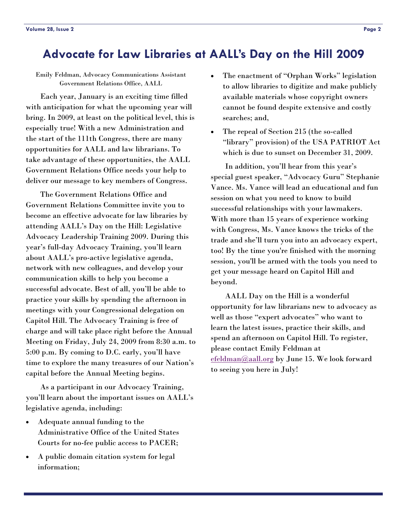# <span id="page-1-0"></span>**Advocate for Law Libraries at AALL's Day on the Hill 2009**

Emily Feldman, Advocacy Communications Assistant Government Relations Office, AALL

 Each year, January is an exciting time filled with anticipation for what the upcoming year will bring. In 2009, at least on the political level, this is especially true! With a new Administration and the start of the 111th Congress, there are many opportunities for AALL and law librarians. To take advantage of these opportunities, the AALL Government Relations Office needs your help to deliver our message to key members of Congress.

 The Government Relations Office and Government Relations Committee invite you to become an effective advocate for law libraries by attending AALL's Day on the Hill: Legislative Advocacy Leadership Training 2009. During this year's full-day Advocacy Training, you'll learn about AALL's pro-active legislative agenda, network with new colleagues, and develop your communication skills to help you become a successful advocate. Best of all, you'll be able to practice your skills by spending the afternoon in meetings with your Congressional delegation on Capitol Hill. The Advocacy Training is free of charge and will take place right before the Annual Meeting on Friday, July 24, 2009 from 8:30 a.m. to 5:00 p.m. By coming to D.C. early, you'll have time to explore the many treasures of our Nation's capital before the Annual Meeting begins.

 As a participant in our Advocacy Training, you'll learn about the important issues on AALL's legislative agenda, including:

- Adequate annual funding to the Administrative Office of the United States Courts for no-fee public access to PACER;
- A public domain citation system for legal information;
- The enactment of "Orphan Works" legislation to allow libraries to digitize and make publicly available materials whose copyright owners cannot be found despite extensive and costly searches; and,
- The repeal of Section 215 (the so-called "library" provision) of the USA PATRIOT Act which is due to sunset on December 31, 2009.

 In addition, you'll hear from this year's special guest speaker, "Advocacy Guru" Stephanie Vance. Ms. Vance will lead an educational and fun session on what you need to know to build successful relationships with your lawmakers. With more than 15 years of experience working with Congress, Ms. Vance knows the tricks of the trade and she'll turn you into an advocacy expert, too! By the time you're finished with the morning session, you'll be armed with the tools you need to get your message heard on Capitol Hill and beyond.

 AALL Day on the Hill is a wonderful opportunity for law librarians new to advocacy as well as those "expert advocates" who want to learn the latest issues, practice their skills, and spend an afternoon on Capitol Hill. To register, please contact Emily Feldman at [efeldman@aall.org](mailto:efeldman@aall.org) by June 15. We look forward to seeing you here in July!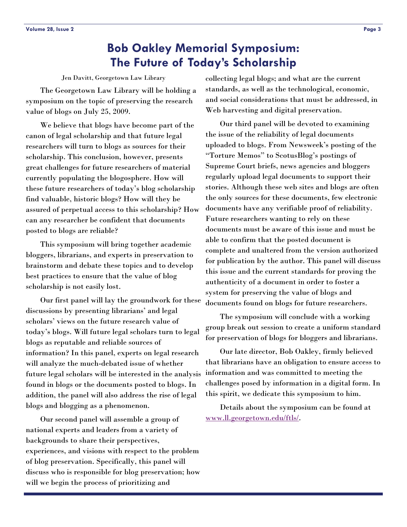# **Bob Oakley Memorial Symposium: The Future of Today's Scholarship**

Jen Davitt, Georgetown Law Library

<span id="page-2-0"></span> The Georgetown Law Library will be holding a symposium on the topic of preserving the research value of blogs on July 25, 2009.

 We believe that blogs have become part of the canon of legal scholarship and that future legal researchers will turn to blogs as sources for their scholarship. This conclusion, however, presents great challenges for future researchers of material currently populating the blogosphere. How will these future researchers of today's blog scholarship find valuable, historic blogs? How will they be assured of perpetual access to this scholarship? How can any researcher be confident that documents posted to blogs are reliable?

 This symposium will bring together academic bloggers, librarians, and experts in preservation to brainstorm and debate these topics and to develop best practices to ensure that the value of blog scholarship is not easily lost.

 Our first panel will lay the groundwork for these discussions by presenting librarians' and legal scholars' views on the future research value of today's blogs. Will future legal scholars turn to legal blogs as reputable and reliable sources of information? In this panel, experts on legal research will analyze the much-debated issue of whether future legal scholars will be interested in the analysis found in blogs or the documents posted to blogs. In addition, the panel will also address the rise of legal blogs and blogging as a phenomenon.

 Our second panel will assemble a group of national experts and leaders from a variety of backgrounds to share their perspectives, experiences, and visions with respect to the problem of blog preservation. Specifically, this panel will discuss who is responsible for blog preservation; how will we begin the process of prioritizing and

collecting legal blogs; and what are the current standards, as well as the technological, economic, and social considerations that must be addressed, in Web harvesting and digital preservation.

 Our third panel will be devoted to examining the issue of the reliability of legal documents uploaded to blogs. From Newsweek's posting of the "Torture Memos" to ScotusBlog's postings of Supreme Court briefs, news agencies and bloggers regularly upload legal documents to support their stories. Although these web sites and blogs are often the only sources for these documents, few electronic documents have any verifiable proof of reliability. Future researchers wanting to rely on these documents must be aware of this issue and must be able to confirm that the posted document is complete and unaltered from the version authorized for publication by the author. This panel will discuss this issue and the current standards for proving the authenticity of a document in order to foster a system for preserving the value of blogs and documents found on blogs for future researchers.

 The symposium will conclude with a working group break out session to create a uniform standard for preservation of blogs for bloggers and librarians.

 Our late director, Bob Oakley, firmly believed that librarians have an obligation to ensure access to information and was committed to meeting the challenges posed by information in a digital form. In this spirit, we dedicate this symposium to him.

 Details about the symposium can be found at [www.ll.georgetown.edu/ftls/](http://www.ll.georgetown.edu/ftls/).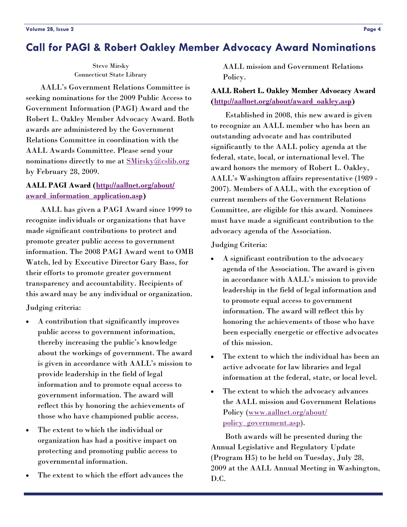# <span id="page-3-0"></span>**Call for PAGI & Robert Oakley Member Advocacy Award Nominations**

Steve Mirsky Connecticut State Library

 AALL's Government Relations Committee is seeking nominations for the 2009 Public Access to Government Information (PAGI) Award and the Robert L. Oakley Member Advocacy Award. Both awards are administered by the Government Relations Committee in coordination with the AALL Awards Committee. Please send your nominations directly to me at **SMirsky@cslib.org** by February 28, 2009.

### **AALL PAGI Award ([http://aallnet.org/about/](http://aallnet.org/about/award_information_application.asp) [award\\_information\\_application.asp](http://aallnet.org/about/award_information_application.asp))**

 AALL has given a PAGI Award since 1999 to recognize individuals or organizations that have made significant contributions to protect and promote greater public access to government information. The 2008 PAGI Award went to OMB Watch, led by Executive Director Gary Bass, for their efforts to promote greater government transparency and accountability. Recipients of this award may be any individual or organization.

Judging criteria:

- A contribution that significantly improves public access to government information, thereby increasing the public's knowledge about the workings of government. The award is given in accordance with AALL's mission to provide leadership in the field of legal information and to promote equal access to government information. The award will reflect this by honoring the achievements of those who have championed public access.
- The extent to which the individual or organization has had a positive impact on protecting and promoting public access to governmental information.
- The extent to which the effort advances the

AALL mission and Government Relations Policy.

### **AALL Robert L. Oakley Member Advocacy Award ([http://aallnet.org/about/award\\_oakley.asp\)](http://aallnet.org/about/award_oakley.asp)**

 Established in 2008, this new award is given to recognize an AALL member who has been an outstanding advocate and has contributed significantly to the AALL policy agenda at the federal, state, local, or international level. The award honors the memory of Robert L. Oakley, AALL's Washington affairs representative (1989 - 2007). Members of AALL, with the exception of current members of the Government Relations Committee, are eligible for this award. Nominees must have made a significant contribution to the advocacy agenda of the Association.

### Judging Criteria:

- A significant contribution to the advocacy agenda of the Association. The award is given in accordance with AALL's mission to provide leadership in the field of legal information and to promote equal access to government information. The award will reflect this by honoring the achievements of those who have been especially energetic or effective advocates of this mission.
- The extent to which the individual has been an active advocate for law libraries and legal information at the federal, state, or local level.
- The extent to which the advocacy advances the AALL mission and Government Relations Policy ([www.aallnet.org/about/](http://www.aallnet.org/about/policy_government.asp) [policy\\_government.asp](http://www.aallnet.org/about/policy_government.asp)).

 Both awards will be presented during the Annual Legislative and Regulatory Update (Program H5) to be held on Tuesday, July 28, 2009 at the AALL Annual Meeting in Washington, D.C.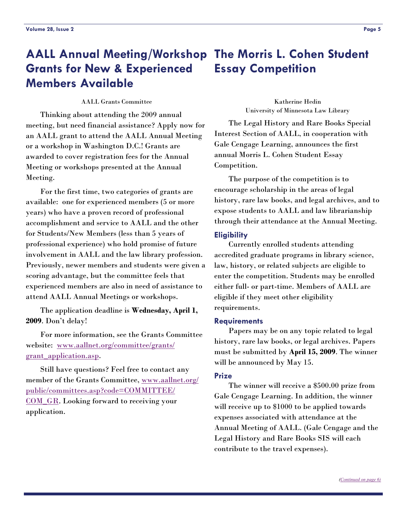### <span id="page-4-0"></span>**AALL Annual Meeting/Workshop The Morris L. Cohen Student Grants for New & Experienced Members Available Essay Competition**

AALL Grants Committee

 Thinking about attending the 2009 annual meeting, but need financial assistance? Apply now for an AALL grant to attend the AALL Annual Meeting or a workshop in Washington D.C.! Grants are awarded to cover registration fees for the Annual Meeting or workshops presented at the Annual Meeting.

 For the first time, two categories of grants are available: one for experienced members (5 or more years) who have a proven record of professional accomplishment and service to AALL and the other for Students/New Members (less than 5 years of professional experience) who hold promise of future involvement in AALL and the law library profession. Previously, newer members and students were given a scoring advantage, but the committee feels that experienced members are also in need of assistance to attend AALL Annual Meetings or workshops.

 The application deadline is **Wednesday, April 1, 2009**. Don't delay!

 For more information, see the Grants Committee website: [www.aallnet.org/committee/grants/](http://www.aallnet.org/committee/grants/grant_application.asp) grant application.asp.

 Still have questions? Feel free to contact any member of the Grants Committee, [www.aallnet.org/](http://www.aallnet.org/public/committees.asp?code=COMMITTEE/COM_GR) [public/committees.asp?code=COMMITTEE/](http://www.aallnet.org/public/committees.asp?code=COMMITTEE/COM_GR) COM GR. Looking forward to receiving your application.

Katherine Hedin University of Minnesota Law Library

 The Legal History and Rare Books Special Interest Section of AALL, in cooperation with Gale Cengage Learning, announces the first annual Morris L. Cohen Student Essay Competition.

 The purpose of the competition is to encourage scholarship in the areas of legal history, rare law books, and legal archives, and to expose students to AALL and law librarianship through their attendance at the Annual Meeting.

### **Eligibility**

 Currently enrolled students attending accredited graduate programs in library science, law, history, or related subjects are eligible to enter the competition. Students may be enrolled either full- or part-time. Members of AALL are eligible if they meet other eligibility requirements.

### **Requirements**

 Papers may be on any topic related to legal history, rare law books, or legal archives. Papers must be submitted by **April 15, 2009**. The winner will be announced by May 15.

### **Prize**

 The winner will receive a \$500.00 prize from Gale Cengage Learning. In addition, the winner will receive up to \$1000 to be applied towards expenses associated with attendance at the Annual Meeting of AALL. (Gale Cengage and the Legal History and Rare Books SIS will each contribute to the travel expenses).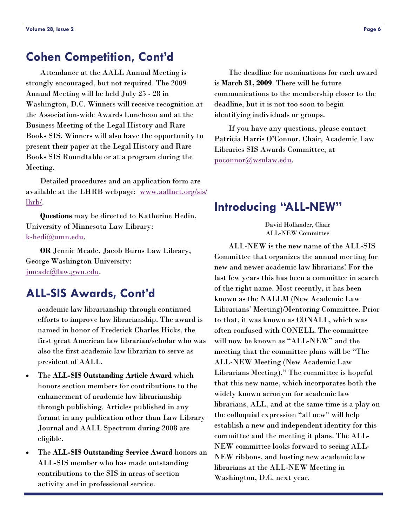# <span id="page-5-0"></span>**Cohen Competition, Cont'd**

 Attendance at the AALL Annual Meeting is strongly encouraged, but not required. The 2009 Annual Meeting will be held July 25 - 28 in Washington, D.C. Winners will receive recognition at the Association-wide Awards Luncheon and at the Business Meeting of the Legal History and Rare Books SIS. Winners will also have the opportunity to present their paper at the Legal History and Rare Books SIS Roundtable or at a program during the Meeting.

 Detailed procedures and an application form are available at the LHRB webpage: [www.aallnet.org/sis/](http://www.aallnet.org/sis/lhrb/) [lhrb/](http://www.aallnet.org/sis/lhrb/).

**Questions** may be directed to Katherine Hedin, University of Minnesota Law Library: [k-hedi@umn.edu](mailto:k-hedi@umn.edu).

**OR** Jennie Meade, Jacob Burns Law Library, George Washington University: [jmeade@law.gwu.edu](mailto:jmeade@law.gwu.edu).

# **ALL-SIS Awards, Cont'd**

academic law librarianship through continued efforts to improve law librarianship. The award is named in honor of Frederick Charles Hicks, the first great American law librarian/scholar who was also the first academic law librarian to serve as president of AALL.

- The **ALL-SIS Outstanding Article Award** which honors section members for contributions to the enhancement of academic law librarianship through publishing. Articles published in any format in any publication other than Law Library Journal and AALL Spectrum during 2008 are eligible.
- The **ALL-SIS Outstanding Service Award** honors an ALL-SIS member who has made outstanding contributions to the SIS in areas of section activity and in professional service.

 The deadline for nominations for each award is **March 31, 2009**. There will be future communications to the membership closer to the deadline, but it is not too soon to begin identifying individuals or groups.

 If you have any questions, please contact Patricia Harris O'Connor, Chair, Academic Law Libraries SIS Awards Committee, at [poconnor@wsulaw.edu](mailto:poconnor@wsulaw.edu).

# **Introducing "ALL-NEW"**

David Hollander, Chair ALL-NEW Committee

 ALL-NEW is the new name of the ALL-SIS Committee that organizes the annual meeting for new and newer academic law librarians! For the last few years this has been a committee in search of the right name. Most recently, it has been known as the NALLM (New Academic Law Librarians' Meeting)/Mentoring Committee. Prior to that, it was known as CONALL, which was often confused with CONELL. The committee will now be known as "ALL-NEW" and the meeting that the committee plans will be "The ALL-NEW Meeting (New Academic Law Librarians Meeting)." The committee is hopeful that this new name, which incorporates both the widely known acronym for academic law librarians, ALL, and at the same time is a play on the colloquial expression "all new" will help establish a new and independent identity for this committee and the meeting it plans. The ALL-NEW committee looks forward to seeing ALL-NEW ribbons, and hosting new academic law librarians at the ALL-NEW Meeting in Washington, D.C. next year.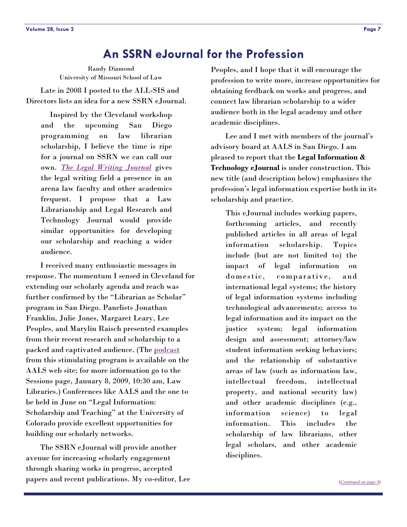# **An SSRN eJournal for the Profession**

<span id="page-6-0"></span>Randy Diamond University of Missouri School of Law

 Late in 2008 I posted to the ALL-SIS and Directors lists an idea for a new SSRN eJournal.

Inspired by the Cleveland workshop and the upcoming San Diego programming on law librarian scholarship, I believe the time is ripe for a journal on SSRN we can call our own. *[The Legal Writing Journal](http://papers.ssrn.com/sol3/JELJOUR_Results.cfm?form_name=journalBrowse&journal_id=902240)* gives the legal writing field a presence in an arena law faculty and other academics frequent. I propose that a Law Librarianship and Legal Research and Technology Journal would provide similar opportunities for developing our scholarship and reaching a wider audience.

 I received many enthusiastic messages in response. The momentum I sensed in Cleveland for extending our scholarly agenda and reach was further confirmed by the "Librarian as Scholar" program in San Diego. Panelists Jonathan Franklin, Julie Jones, Margaret Leary, Lee Peoples, and Marylin Raisch presented examples from their recent research and scholarship to a packed and captivated audience. (The [podcast](http://www.aalsweb.org/thursday/LawLibraries.mp3) from this stimulating program is available on the AALS web site; for more information go to the Sessions page, January 8, 2009, 10:30 am, Law Libraries.) Conferences like AALS and the one to be held in June on "Legal Information: Scholarship and Teaching" at the University of Colorado provide excellent opportunities for building our scholarly networks.

 The SSRN eJournal will provide another avenue for increasing scholarly engagement through sharing works in progress, accepted papers and recent publications. My co-editor, Lee Peoples, and I hope that it will encourage the profession to write more, increase opportunities for obtaining feedback on works and progress, and connect law librarian scholarship to a wider audience both in the legal academy and other academic disciplines.

 Lee and I met with members of the journal's advisory board at AALS in San Diego. I am pleased to report that the **Legal Information & Technology eJournal** is under construction. This new title (and description below) emphasizes the profession's legal information expertise both in its scholarship and practice.

This eJournal includes working papers, forthcoming articles, and recently published articles in all areas of legal information scholarship. Topics include (but are not limited to) the impact of legal information on domestic, comparative, and international legal systems; the history of legal information systems including technological advancements; access to legal information and its impact on the justice system; legal information design and assessment; attorney/law student information seeking behaviors; and the relationship of substantive areas of law (such as information law, intellectual freedom, intellectual property, and national security law) and other academic disciplines (e.g., information science) to legal information. This includes the scholarship of law librarians, other legal scholars, and other academic disciplines.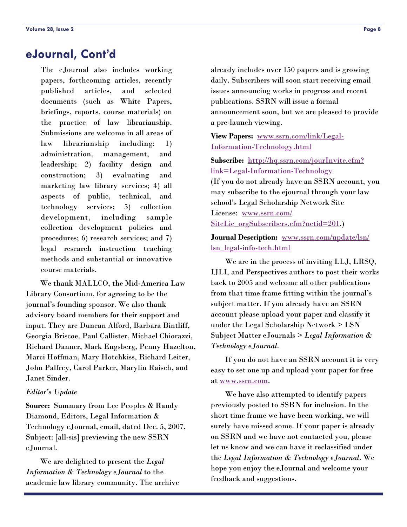# <span id="page-7-0"></span>**eJournal, Cont'd**

The eJournal also includes working papers, forthcoming articles, recently published articles, and selected documents (such as White Papers, briefings, reports, course materials) on the practice of law librarianship. Submissions are welcome in all areas of law librarianship including: 1) administration, management, and leadership; 2) facility design and construction; 3) evaluating and marketing law library services; 4) all aspects of public, technical, and technology services; 5) collection development, including sample collection development policies and procedures; 6) research services; and 7) legal research instruction teaching methods and substantial or innovative course materials.

 We thank MALLCO, the Mid-America Law Library Consortium, for agreeing to be the journal's founding sponsor. We also thank advisory board members for their support and input. They are Duncan Alford, Barbara Bintliff, Georgia Briscoe, Paul Callister, Michael Chiorazzi, Richard Danner, Mark Engsberg, Penny Hazelton, Marci Hoffman, Mary Hotchkiss, Richard Leiter, John Palfrey, Carol Parker, Marylin Raisch, and Janet Sinder.

### *Editor's Update*

**Source:** Summary from Lee Peoples & Randy Diamond, Editors, Legal Information & Technology eJournal, email, dated Dec. 5, 2007, Subject: [all-sis] previewing the new SSRN eJournal.

 We are delighted to present the *Legal Information & Technology eJournal* to the academic law library community. The archive

already includes over 150 papers and is growing daily. Subscribers will soon start receiving email issues announcing works in progress and recent publications. SSRN will issue a formal announcement soon, but we are pleased to provide a pre-launch viewing.

**View Papers:** [www.ssrn.com/link/Legal-](http://www.ssrn.com/link/Legal-Information-Technology.html)[Information-Technology.html](http://www.ssrn.com/link/Legal-Information-Technology.html)

Subscribe: [http://hq.ssrn.com/jourInvite.cfm?](http://hq.ssrn.com/jourInvite.cfm?link=Legal-Information-Technology) [link=Legal-Information-Technology](http://hq.ssrn.com/jourInvite.cfm?link=Legal-Information-Technology) (If you do not already have an SSRN account, you may subscribe to the ejournal through your law school's Legal Scholarship Network Site License: [www.ssrn.com/](http://www.ssrn.com/SiteLic_orgSubscribers.cfm?netid=201) [SiteLic\\_orgSubscribers.cfm?netid=201](http://www.ssrn.com/SiteLic_orgSubscribers.cfm?netid=201).)

**Journal Description:** [www.ssrn.com/update/lsn/](http://www.ssrn.com/update/lsn/lsn_legal-info-tech.html) [lsn\\_legal-info-tech.html](http://www.ssrn.com/update/lsn/lsn_legal-info-tech.html)

 We are in the process of inviting LLJ, LRSQ, IJLI, and Perspectives authors to post their works back to 2005 and welcome all other publications from that time frame fitting within the journal's subject matter. If you already have an SSRN account please upload your paper and classify it under the Legal Scholarship Network > LSN Subject Matter eJournals > *Legal Information & Technology eJournal*.

 If you do not have an SSRN account it is very easy to set one up and upload your paper for free at [www.ssrn.com](http://www.ssrn.com).

 We have also attempted to identify papers previously posted to SSRN for inclusion. In the short time frame we have been working, we will surely have missed some. If your paper is already on SSRN and we have not contacted you, please let us know and we can have it reclassified under the *Legal Information & Technology eJournal*. We hope you enjoy the eJournal and welcome your feedback and suggestions.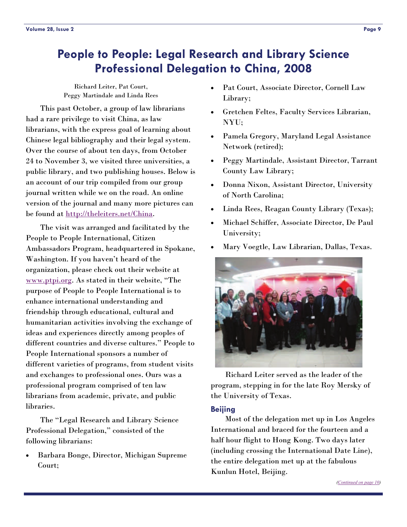# <span id="page-8-0"></span>**People to People: Legal Research and Library Science Professional Delegation to China, 2008**

Richard Leiter, Pat Court, Peggy Martindale and Linda Rees

 This past October, a group of law librarians had a rare privilege to visit China, as law librarians, with the express goal of learning about Chinese legal bibliography and their legal system. Over the course of about ten days, from October 24 to November 3, we visited three universities, a public library, and two publishing houses. Below is an account of our trip compiled from our group journal written while we on the road. An online version of the journal and many more pictures can be found at <http://theleiters.net/China>.

 The visit was arranged and facilitated by the People to People International, Citizen Ambassadors Program, headquartered in Spokane, Washington. If you haven't heard of the organization, please check out their website at [www.ptpi.org](http://www.ptpi.org). As stated in their website, "The purpose of People to People International is to enhance international understanding and friendship through educational, cultural and humanitarian activities involving the exchange of ideas and experiences directly among peoples of different countries and diverse cultures." People to People International sponsors a number of different varieties of programs, from student visits and exchanges to professional ones. Ours was a professional program comprised of ten law librarians from academic, private, and public libraries.

 The "Legal Research and Library Science Professional Delegation," consisted of the following librarians:

• Barbara Bonge, Director, Michigan Supreme Court;

- Pat Court, Associate Director, Cornell Law Library;
- Gretchen Feltes, Faculty Services Librarian, NYU;
- Pamela Gregory, Maryland Legal Assistance Network (retired);
- Peggy Martindale, Assistant Director, Tarrant County Law Library;
- Donna Nixon, Assistant Director, University of North Carolina;
- Linda Rees, Reagan County Library (Texas);
- Michael Schiffer, Associate Director, De Paul University;
- Mary Voegtle, Law Librarian, Dallas, Texas.



 Richard Leiter served as the leader of the program, stepping in for the late Roy Mersky of the University of Texas.

### **Beijing**

 Most of the delegation met up in Los Angeles International and braced for the fourteen and a half hour flight to Hong Kong. Two days later (including crossing the International Date Line), the entire delegation met up at the fabulous Kunlun Hotel, Beijing.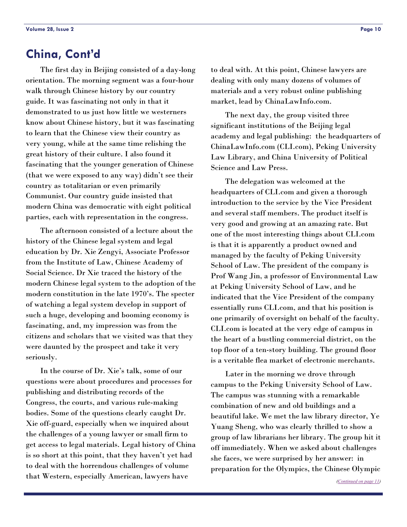# <span id="page-9-0"></span>**China, Cont'd**

 The first day in Beijing consisted of a day-long orientation. The morning segment was a four-hour walk through Chinese history by our country guide. It was fascinating not only in that it demonstrated to us just how little we westerners know about Chinese history, but it was fascinating to learn that the Chinese view their country as very young, while at the same time relishing the great history of their culture. I also found it fascinating that the younger generation of Chinese (that we were exposed to any way) didn't see their country as totalitarian or even primarily Communist. Our country guide insisted that modern China was democratic with eight political parties, each with representation in the congress.

 The afternoon consisted of a lecture about the history of the Chinese legal system and legal education by Dr. Xie Zengyi, Associate Professor from the Institute of Law, Chinese Academy of Social Science. Dr Xie traced the history of the modern Chinese legal system to the adoption of the modern constitution in the late 1970's. The specter of watching a legal system develop in support of such a huge, developing and booming economy is fascinating, and, my impression was from the citizens and scholars that we visited was that they were daunted by the prospect and take it very seriously.

 In the course of Dr. Xie's talk, some of our questions were about procedures and processes for publishing and distributing records of the Congress, the courts, and various rule-making bodies. Some of the questions clearly caught Dr. Xie off-guard, especially when we inquired about the challenges of a young lawyer or small firm to get access to legal materials. Legal history of China is so short at this point, that they haven't yet had to deal with the horrendous challenges of volume that Western, especially American, lawyers have

to deal with. At this point, Chinese lawyers are dealing with only many dozens of volumes of materials and a very robust online publishing market, lead by ChinaLawInfo.com.

 The next day, the group visited three significant institutions of the Beijing legal academy and legal publishing: the headquarters of ChinaLawInfo.com (CLI.com), Peking University Law Library, and China University of Political Science and Law Press.

 The delegation was welcomed at the headquarters of CLI.com and given a thorough introduction to the service by the Vice President and several staff members. The product itself is very good and growing at an amazing rate. But one of the most interesting things about CLI.com is that it is apparently a product owned and managed by the faculty of Peking University School of Law. The president of the company is Prof Wang Jin, a professor of Environmental Law at Peking University School of Law, and he indicated that the Vice President of the company essentially runs CLI.com, and that his position is one primarily of oversight on behalf of the faculty. CLI.com is located at the very edge of campus in the heart of a bustling commercial district, on the top floor of a ten-story building. The ground floor is a veritable flea market of electronic merchants.

 Later in the morning we drove through campus to the Peking University School of Law. The campus was stunning with a remarkable combination of new and old buildings and a beautiful lake. We met the law library director, Ye Yuang Sheng, who was clearly thrilled to show a group of law librarians her library. The group hit it off immediately. When we asked about challenges she faces, we were surprised by her answer: in preparation for the Olympics, the Chinese Olympic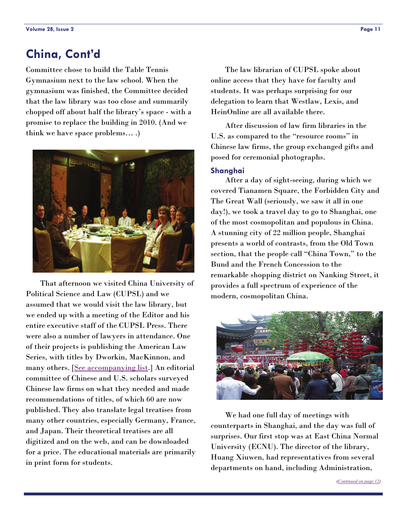# <span id="page-10-0"></span>**China, Cont'd**

Committee chose to build the Table Tennis Gymnasium next to the law school. When the gymnasium was finished, the Committee decided that the law library was too close and summarily chopped off about half the library's space - with a promise to replace the building in 2010. (And we think we have space problems… .)



 That afternoon we visited China University of Political Science and Law (CUPSL) and we assumed that we would visit the law library, but we ended up with a meeting of the Editor and his entire executive staff of the CUPSL Press. There were also a number of lawyers in attendance. One of their projects is publishing the American Law Series, with titles by Dworkin, MacKinnon, and many others. [\[See accompanying list](http://theleiters.net/China/CUPSL_Booklist.html).] An editorial committee of Chinese and U.S. scholars surveyed Chinese law firms on what they needed and made recommendations of titles, of which 60 are now published. They also translate legal treatises from many other countries, especially Germany, France, and Japan. Their theoretical treatises are all digitized and on the web, and can be downloaded for a price. The educational materials are primarily in print form for students.

 The law librarian of CUPSL spoke about online access that they have for faculty and students. It was perhaps surprising for our delegation to learn that Westlaw, Lexis, and HeinOnline are all available there.

 After discussion of law firm libraries in the U.S. as compared to the "resource rooms" in Chinese law firms, the group exchanged gifts and posed for ceremonial photographs.

### **Shanghai**

 After a day of sight-seeing, during which we covered Tianamen Square, the Forbidden City and The Great Wall (seriously, we saw it all in one day!), we took a travel day to go to Shanghai, one of the most cosmopolitan and populous in China. A stunning city of 22 million people, Shanghai presents a world of contrasts, from the Old Town section, that the people call "China Town," to the Bund and the French Concession to the remarkable shopping district on Nanking Street, it provides a full spectrum of experience of the modern, cosmopolitan China.



 We had one full day of meetings with counterparts in Shanghai, and the day was full of surprises. Our first stop was at East China Normal University (ECNU). The director of the library, Huang Xiuwen, had representatives from several departments on hand, including Administration,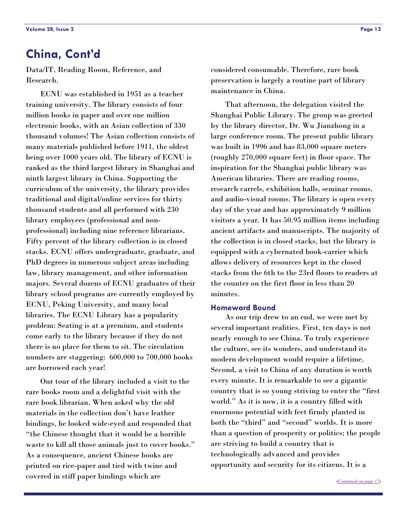# <span id="page-11-0"></span>**China, Cont'd**

Data/IT, Reading Room, Reference, and Research.

 ECNU was established in 1951 as a teacher training university. The library consists of four million books in paper and over one million electronic books, with an Asian collection of 330 thousand volumes! The Asian collection consists of many materials published before 1911, the oldest being over 1000 years old. The library of ECNU is ranked as the third largest library in Shanghai and ninth largest library in China. Supporting the curriculum of the university, the library provides traditional and digital/online services for thirty thousand students and all performed with 230 library employees (professional and nonprofessional) including nine reference librarians. Fifty percent of the library collection is in closed stacks. ECNU offers undergraduate, graduate, and PhD degrees in numerous subject areas including law, library management, and other information majors. Several dozens of ECNU graduates of their library school programs are currently employed by ECNU, Peking University, and many local libraries. The ECNU Library has a popularity problem: Seating is at a premium, and students come early to the library because if they do not there is no place for them to sit. The circulation numbers are staggering: 600,000 to 700,000 books are borrowed each year!

 Our tour of the library included a visit to the rare books room and a delightful visit with the rare book librarian. When asked why the old materials in the collection don't have leather bindings, he looked wide-eyed and responded that "the Chinese thought that it would be a horrible waste to kill all those animals just to cover books." As a consequence, ancient Chinese books are printed on rice-paper and tied with twine and covered in stiff paper bindings which are

considered consumable. Therefore, rare book preservation is largely a routine part of library maintenance in China.

 That afternoon, the delegation visited the Shanghai Public Library. The group was greeted by the library director, Dr. Wu Jianzhong in a large conference room. The present public library was built in 1996 and has 83,000 square meters (roughly 270,000 square feet) in floor space. The inspiration for the Shanghai public library was American libraries. There are reading rooms, research carrels, exhibition halls, seminar rooms, and audio-visual rooms. The library is open every day of the year and has approximately 9 million visitors a year. It has 50.95 million items including ancient artifacts and manuscripts. The majority of the collection is in closed stacks, but the library is equipped with a cybernated book-carrier which allows delivery of resources kept in the closed stacks from the 6th to the 23rd floors to readers at the counter on the first floor in less than 20 minutes.

### **Homeward Bound**

 As our trip drew to an end, we were met by several important realities. First, ten days is not nearly enough to see China. To truly experience the culture, see its wonders, and understand its modern development would require a lifetime. Second, a visit to China of any duration is worth every minute. It is remarkable to see a gigantic country that is so young striving to enter the "first world." As it is now, it is a country filled with enormous potential with feet firmly planted in both the "third" and "second" worlds. It is more than a question of prosperity or politics; the people are striving to build a country that is technologically advanced and provides opportunity and security for its citizens. It is a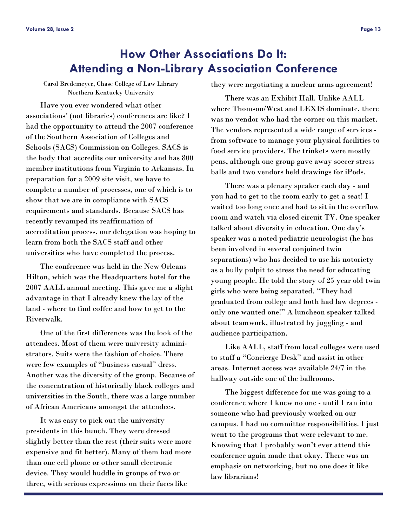# <span id="page-12-0"></span>**How Other Associations Do It: Attending a Non-Library Association Conference**

Carol Bredemeyer, Chase College of Law Library Northern Kentucky University

 Have you ever wondered what other associations' (not libraries) conferences are like? I had the opportunity to attend the 2007 conference of the Southern Association of Colleges and Schools (SACS) Commission on Colleges. SACS is the body that accredits our university and has 800 member institutions from Virginia to Arkansas. In preparation for a 2009 site visit, we have to complete a number of processes, one of which is to show that we are in compliance with SACS requirements and standards. Because SACS has recently revamped its reaffirmation of accreditation process, our delegation was hoping to learn from both the SACS staff and other universities who have completed the process.

 The conference was held in the New Orleans Hilton, which was the Headquarters hotel for the 2007 AALL annual meeting. This gave me a slight advantage in that I already knew the lay of the land - where to find coffee and how to get to the Riverwalk.

 One of the first differences was the look of the attendees. Most of them were university administrators. Suits were the fashion of choice. There were few examples of "business casual" dress. Another was the diversity of the group. Because of the concentration of historically black colleges and universities in the South, there was a large number of African Americans amongst the attendees.

 It was easy to pick out the university presidents in this bunch. They were dressed slightly better than the rest (their suits were more expensive and fit better). Many of them had more than one cell phone or other small electronic device. They would huddle in groups of two or three, with serious expressions on their faces like

they were negotiating a nuclear arms agreement!

 There was an Exhibit Hall. Unlike AALL where Thomson/West and LEXIS dominate, there was no vendor who had the corner on this market. The vendors represented a wide range of services from software to manage your physical facilities to food service providers. The trinkets were mostly pens, although one group gave away soccer stress balls and two vendors held drawings for iPods.

 There was a plenary speaker each day - and you had to get to the room early to get a seat! I waited too long once and had to sit in the overflow room and watch via closed circuit TV. One speaker talked about diversity in education. One day's speaker was a noted pediatric neurologist (he has been involved in several conjoined twin separations) who has decided to use his notoriety as a bully pulpit to stress the need for educating young people. He told the story of 25 year old twin girls who were being separated. "They had graduated from college and both had law degrees only one wanted one!" A luncheon speaker talked about teamwork, illustrated by juggling - and audience participation.

 Like AALL, staff from local colleges were used to staff a "Concierge Desk" and assist in other areas. Internet access was available 24/7 in the hallway outside one of the ballrooms.

 The biggest difference for me was going to a conference where I knew no one - until I ran into someone who had previously worked on our campus. I had no committee responsibilities. I just went to the programs that were relevant to me. Knowing that I probably won't ever attend this conference again made that okay. There was an emphasis on networking, but no one does it like law librarians!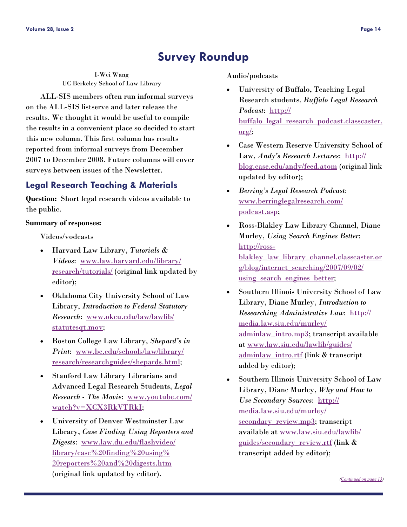# **Survey Roundup**

<span id="page-13-0"></span>I-Wei Wang UC Berkeley School of Law Library

 ALL-SIS members often run informal surveys on the ALL-SIS listserve and later release the results. We thought it would be useful to compile the results in a convenient place so decided to start this new column. This first column has results reported from informal surveys from December 2007 to December 2008. Future columns will cover surveys between issues of the Newsletter.

### **Legal Research Teaching & Materials**

**Question:** Short legal research videos available to the public.

### **Summary of responses:**

Videos/vodcasts

- Harvard Law Library, *Tutorials & Videos*: [www.law.harvard.edu/library/](http://www.law.harvard.edu/library/research/tutorials/) [research/tutorials/](http://www.law.harvard.edu/library/research/tutorials/) (original link updated by editor);
- Oklahoma City University School of Law Library, *Introduction to Federal Statutory Research*: [www.okcu.edu/law/lawlib/](http://www.okcu.edu/law/lawlib/statutesqt.mov) [statutesqt.mov](http://www.okcu.edu/law/lawlib/statutesqt.mov);
- Boston College Law Library, *Shepard's in Print*: [www.bc.edu/schools/law/library/](http://www.bc.edu/schools/law/library/research/researchguides/shepards.html) [research/researchguides/shepards.html](http://www.bc.edu/schools/law/library/research/researchguides/shepards.html);
- Stanford Law Library Librarians and Advanced Legal Research Students, *Legal Research - The Movie*: [www.youtube.com/](http://www.youtube.com/watch?v=XCX3RkVTRkI) [watch?v=XCX3RkVTRkI](http://www.youtube.com/watch?v=XCX3RkVTRkI);
- University of Denver Westminster Law Library, *Case Finding Using Reporters and Digests*: [www.law.du.edu/flashvideo/](http://www.law.du.edu/flashvideo/library/case%20finding%20using%20reporters%20and%20digests.htm) [library/case%20finding%20using%](http://www.law.du.edu/flashvideo/library/case%20finding%20using%20reporters%20and%20digests.htm) [20reporters%20and%20digests.htm](http://www.law.du.edu/flashvideo/library/case%20finding%20using%20reporters%20and%20digests.htm) (original link updated by editor).

Audio/podcasts

- University of Buffalo, Teaching Legal Research students, *Buffalo Legal Research Podcast*: [http://](http://buffalo_legal_research_podcast.classcaster.org/) buffalo legal research podcast.classcaster. [org/](http://buffalo_legal_research_podcast.classcaster.org/);
- Case Western Reserve University School of Law, *Andy's Research Lectures*: [http://](http://blog.case.edu/andy/feed.atom) [blog.case.edu/andy/feed.atom](http://blog.case.edu/andy/feed.atom) (original link updated by editor);
- *Berring's Legal Research Podcast*: [www.berringlegalresearch.com/](http://www.berringlegalresearch.com/podcast.asp) [podcast.asp](http://www.berringlegalresearch.com/podcast.asp);
- Ross-Blakley Law Library Channel, Diane Murley, *Using Search Engines Better*: [http://ross](http://ross-blakley_law_library_channel.classcaster.org/blog/internet_searching/2007/09/02/using_search_engines_better)[blakley\\_law\\_library\\_channel.classcaster.or](http://ross-blakley_law_library_channel.classcaster.org/blog/internet_searching/2007/09/02/using_search_engines_better) [g/blog/internet\\_searching/2007/09/02/](http://ross-blakley_law_library_channel.classcaster.org/blog/internet_searching/2007/09/02/using_search_engines_better) using search engines better;
- Southern Illinois University School of Law Library, Diane Murley, *Introduction to Researching Administrative Law*: [http://](http://media.law.siu.edu/murley/adminlaw_intro.mp3) [media.law.siu.edu/murley/](http://media.law.siu.edu/murley/adminlaw_intro.mp3) [adminlaw\\_intro.mp3](http://media.law.siu.edu/murley/adminlaw_intro.mp3); transcript available at [www.law.siu.edu/lawlib/guides/](http://www.law.siu.edu/lawlib/guides/adminlaw_intro.rtf) [adminlaw\\_intro.rtf](http://www.law.siu.edu/lawlib/guides/adminlaw_intro.rtf) (link & transcript added by editor);
- Southern Illinois University School of Law Library, Diane Murley, *Why and How to Use Secondary Sources*: [http://](http://media.law.siu.edu/murley/secondary_review.mp3) [media.law.siu.edu/murley/](http://media.law.siu.edu/murley/secondary_review.mp3) [secondary\\_review.mp3](http://media.law.siu.edu/murley/secondary_review.mp3); transcript available at [www.law.siu.edu/lawlib/](http://www.law.siu.edu/lawlib/guides/secondary_review.rtf) [guides/secondary\\_review.rtf](http://www.law.siu.edu/lawlib/guides/secondary_review.rtf) (link & transcript added by editor);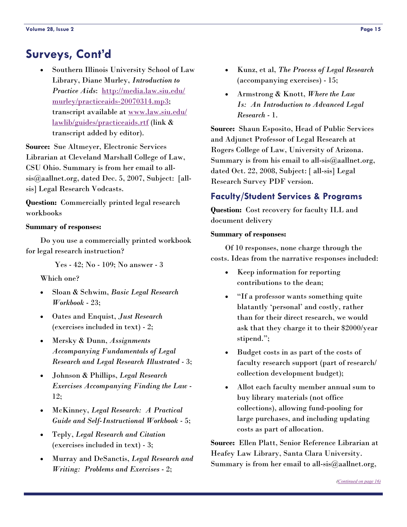# <span id="page-14-0"></span>**Surveys, Cont'd**

• Southern Illinois University School of Law Library, Diane Murley, *Introduction to Practice Aids*: [http://media.law.siu.edu/](http://media.law.siu.edu/murley/practiceaids-20070314.mp3) [murley/practiceaids-20070314.mp3](http://media.law.siu.edu/murley/practiceaids-20070314.mp3); transcript available at [www.law.siu.edu/](http://www.law.siu.edu/lawlib/guides/practiceaids.rtf) [lawlib/guides/practiceaids.rtf](http://www.law.siu.edu/lawlib/guides/practiceaids.rtf) (link & transcript added by editor).

**Source:** Sue Altmeyer, Electronic Services Librarian at Cleveland Marshall College of Law, CSU Ohio. Summary is from her email to allsis@aallnet.org, dated Dec. 5, 2007, Subject: [allsis] Legal Research Vodcasts.

**Question:** Commercially printed legal research workbooks

### **Summary of responses:**

 Do you use a commercially printed workbook for legal research instruction?

Yes - 42; No - 109; No answer - 3

Which one?

- Sloan & Schwim, *Basic Legal Research Workbook* - 23;
- Oates and Enquist, *Just Research* (exercises included in text) - 2;
- Mersky & Dunn, *Assignments Accompanying Fundamentals of Legal Research and Legal Research Illustrated* - 3;
- Johnson & Phillips, *Legal Research Exercises Accompanying Finding the Law* - 12;
- McKinney, *Legal Research: A Practical Guide and Self-Instructional Workbook* - 5;
- Teply, *Legal Research and Citation* (exercises included in text) - 3;
- Murray and DeSanctis, *Legal Research and Writing: Problems and Exercises* - 2;
- Kunz, et al, *The Process of Legal Research* (accompanying exercises) - 15;
- Armstrong & Knott, *Where the Law Is: An Introduction to Advanced Legal Research* - 1.

**Source:** Shaun Esposito, Head of Public Services and Adjunct Professor of Legal Research at Rogers College of Law, University of Arizona. Summary is from his email to all-sis $@$ aallnet.org, dated Oct. 22, 2008, Subject: [ all-sis] Legal Research Survey PDF version.

### **Faculty/Student Services & Programs**

**Question:** Cost recovery for faculty ILL and document delivery

### **Summary of responses:**

 Of 10 responses, none charge through the costs. Ideas from the narrative responses included:

- Keep information for reporting contributions to the dean;
- "If a professor wants something quite blatantly 'personal' and costly, rather than for their direct research, we would ask that they charge it to their \$2000/year stipend.";
- Budget costs in as part of the costs of faculty research support (part of research/ collection development budget);
- Allot each faculty member annual sum to buy library materials (not office collections), allowing fund-pooling for large purchases, and including updating costs as part of allocation.

**Source:** Ellen Platt, Senior Reference Librarian at Heafey Law Library, Santa Clara University. Summary is from her email to all-sis@aallnet.org,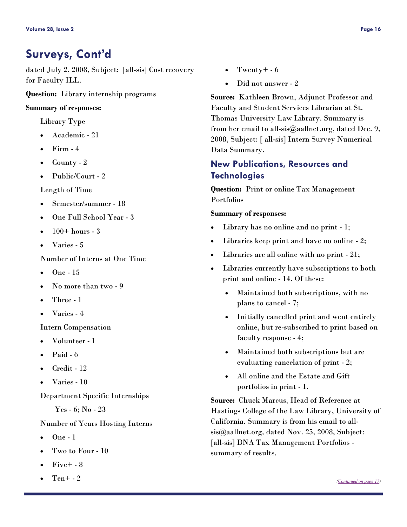# <span id="page-15-0"></span>**Surveys, Cont'd**

dated July 2, 2008, Subject: [all-sis] Cost recovery for Faculty ILL.

**Question:** Library internship programs

### **Summary of responses:**

Library Type

- Academic 21
- Firm 4
- County 2
- Public/Court 2

Length of Time

- Semester/summer 18
- One Full School Year 3
- $100+$  hours 3
- Varies 5

Number of Interns at One Time

- One 15
- No more than two 9
- Three 1
- Varies 4

Intern Compensation

- Volunteer 1
- $\bullet$  Paid 6
- Credit 12
- Varies 10

Department Specific Internships

Yes - 6; No - 23

### Number of Years Hosting Interns

- One 1
- Two to Four 10
- Five+ 8
- $Ten + -2$
- Twenty +  $-6$
- Did not answer 2

**Source:** Kathleen Brown, Adjunct Professor and Faculty and Student Services Librarian at St. Thomas University Law Library. Summary is from her email to all-sis@aallnet.org, dated Dec. 9, 2008, Subject: [ all-sis] Intern Survey Numerical Data Summary.

### **New Publications, Resources and Technologies**

**Question:** Print or online Tax Management Portfolios

### **Summary of responses:**

- Library has no online and no print 1;
- Libraries keep print and have no online 2;
- Libraries are all online with no print 21;
- Libraries currently have subscriptions to both print and online - 14. Of these:
	- Maintained both subscriptions, with no plans to cancel - 7;
	- Initially cancelled print and went entirely online, but re-subscribed to print based on faculty response - 4;
	- Maintained both subscriptions but are evaluating cancelation of print - 2;
	- All online and the Estate and Gift portfolios in print - 1.

**Source:** Chuck Marcus, Head of Reference at Hastings College of the Law Library, University of California. Summary is from his email to allsis@aallnet.org, dated Nov. 25, 2008, Subject: [all-sis] BNA Tax Management Portfolios summary of results.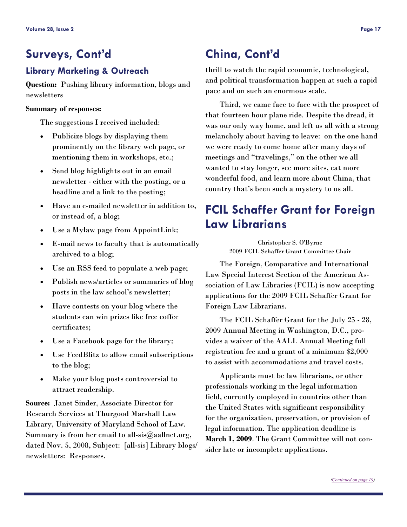# <span id="page-16-0"></span>**Surveys, Cont'd China, Cont'd**

## **Library Marketing & Outreach**

**Question:** Pushing library information, blogs and newsletters

### **Summary of responses:**

The suggestions I received included:

- Publicize blogs by displaying them prominently on the library web page, or mentioning them in workshops, etc.;
- Send blog highlights out in an email newsletter - either with the posting, or a headline and a link to the posting;
- Have an e-mailed newsletter in addition to, or instead of, a blog;
- Use a Mylaw page from AppointLink;
- E-mail news to faculty that is automatically archived to a blog;
- Use an RSS feed to populate a web page;
- Publish news/articles or summaries of blog posts in the law school's newsletter;
- Have contests on your blog where the students can win prizes like free coffee certificates;
- Use a Facebook page for the library;
- Use FeedBlitz to allow email subscriptions to the blog;
- Make your blog posts controversial to attract readership.

**Source:** Janet Sinder, Associate Director for Research Services at Thurgood Marshall Law Library, University of Maryland School of Law. Summary is from her email to all-sis $@$ aallnet.org, dated Nov. 5, 2008, Subject: [all-sis] Library blogs/ newsletters: Responses.

thrill to watch the rapid economic, technological, and political transformation happen at such a rapid pace and on such an enormous scale.

 Third, we came face to face with the prospect of that fourteen hour plane ride. Despite the dread, it was our only way home, and left us all with a strong melancholy about having to leave: on the one hand we were ready to come home after many days of meetings and "travelings," on the other we all wanted to stay longer, see more sites, eat more wonderful food, and learn more about China, that country that's been such a mystery to us all.

# **FCIL Schaffer Grant for Foreign Law Librarians**

Christopher S. O'Byrne 2009 FCIL Schaffer Grant Committee Chair

 The Foreign, Comparative and International Law Special Interest Section of the American Association of Law Libraries (FCIL) is now accepting applications for the 2009 FCIL Schaffer Grant for Foreign Law Librarians.

 The FCIL Schaffer Grant for the July 25 - 28, 2009 Annual Meeting in Washington, D.C., provides a waiver of the AALL Annual Meeting full registration fee and a grant of a minimum \$2,000 to assist with accommodations and travel costs.

 Applicants must be law librarians, or other professionals working in the legal information field, currently employed in countries other than the United States with significant responsibility for the organization, preservation, or provision of legal information. The application deadline is **March 1, 2009**. The Grant Committee will not consider late or incomplete applications.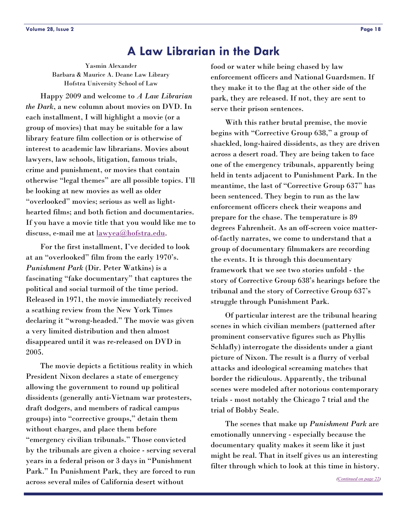# **A Law Librarian in the Dark**

<span id="page-17-0"></span>Yasmin Alexander Barbara & Maurice A. Deane Law Library Hofstra University School of Law

 Happy 2009 and welcome to *A Law Librarian the Dark*, a new column about movies on DVD. In each installment, I will highlight a movie (or a group of movies) that may be suitable for a law library feature film collection or is otherwise of interest to academic law librarians. Movies about lawyers, law schools, litigation, famous trials, crime and punishment, or movies that contain otherwise "legal themes" are all possible topics. I'll be looking at new movies as well as older "overlooked" movies; serious as well as lighthearted films; and both fiction and documentaries. If you have a movie title that you would like me to discuss, e-mail me at <u>lawyea@hofstra.edu</u>.

 For the first installment, I've decided to look at an "overlooked" film from the early 1970's. *Punishment Park* (Dir. Peter Watkins) is a fascinating "fake documentary" that captures the political and social turmoil of the time period. Released in 1971, the movie immediately received a scathing review from the New York Times declaring it "wrong-headed." The movie was given a very limited distribution and then almost disappeared until it was re-released on DVD in 2005.

 The movie depicts a fictitious reality in which President Nixon declares a state of emergency allowing the government to round up political dissidents (generally anti-Vietnam war protesters, draft dodgers, and members of radical campus groups) into "corrective groups," detain them without charges, and place them before "emergency civilian tribunals." Those convicted by the tribunals are given a choice - serving several years in a federal prison or 3 days in "Punishment Park." In Punishment Park, they are forced to run across several miles of California desert without

food or water while being chased by law enforcement officers and National Guardsmen. If they make it to the flag at the other side of the park, they are released. If not, they are sent to serve their prison sentences.

 With this rather brutal premise, the movie begins with "Corrective Group 638," a group of shackled, long-haired dissidents, as they are driven across a desert road. They are being taken to face one of the emergency tribunals, apparently being held in tents adjacent to Punishment Park. In the meantime, the last of "Corrective Group 637" has been sentenced. They begin to run as the law enforcement officers check their weapons and prepare for the chase. The temperature is 89 degrees Fahrenheit. As an off-screen voice matterof-factly narrates, we come to understand that a group of documentary filmmakers are recording the events. It is through this documentary framework that we see two stories unfold - the story of Corrective Group 638's hearings before the tribunal and the story of Corrective Group 637's struggle through Punishment Park.

 Of particular interest are the tribunal hearing scenes in which civilian members (patterned after prominent conservative figures such as Phyllis Schlafly) interrogate the dissidents under a giant picture of Nixon. The result is a flurry of verbal attacks and ideological screaming matches that border the ridiculous. Apparently, the tribunal scenes were modeled after notorious contemporary trials - most notably the Chicago 7 trial and the trial of Bobby Seale.

 The scenes that make up *Punishment Park* are emotionally unnerving - especially because the documentary quality makes it seem like it just might be real. That in itself gives us an interesting filter through which to look at this time in history.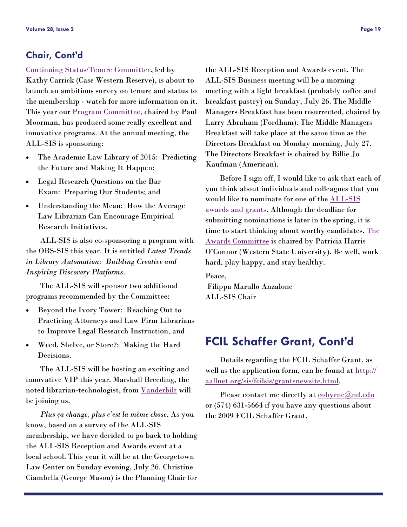### <span id="page-18-0"></span>**Chair, Cont'd**

### [Continuing Status/Tenure Committee](http://www.aallnet.org/sis/allsis/directories/index.asp#cst), led by

Kathy Carrick (Case Western Reserve), is about to launch an ambitious survey on tenure and status to the membership - watch for more information on it. This year our **Program Committee**, chaired by Paul Moorman, has produced some really excellent and innovative programs. At the annual meeting, the ALL-SIS is sponsoring:

- The Academic Law Library of 2015: Predicting the Future and Making It Happen;
- Legal Research Questions on the Bar Exam: Preparing Our Students; and
- Understanding the Mean: How the Average Law Librarian Can Encourage Empirical Research Initiatives.

 ALL-SIS is also co-sponsoring a program with the OBS-SIS this year. It is entitled *Latest Trends in Library Automation: Building Creative and Inspiring Discovery Platforms*.

 The ALL-SIS will sponsor two additional programs recommended by the Committee:

- Beyond the Ivory Tower: Reaching Out to Practicing Attorneys and Law Firm Librarians to Improve Legal Research Instruction, and
- Weed, Shelve, or Store?: Making the Hard Decisions.

 The ALL-SIS will be hosting an exciting and innovative VIP this year. Marshall Breeding, the noted librarian-technologist, from <u>[Vanderbilt](http://lib1a.library.vanderbilt.edu/breeding/)</u> will be joining us.

*Plus ça change, plus c'est la même chose*. As you know, based on a survey of the ALL-SIS membership, we have decided to go back to holding the ALL-SIS Reception and Awards event at a local school. This year it will be at the Georgetown Law Center on Sunday evening, July 26. Christine Ciambella (George Mason) is the Planning Chair for the ALL-SIS Reception and Awards event. The ALL-SIS Business meeting will be a morning meeting with a light breakfast (probably coffee and breakfast pastry) on Sunday, July 26. The Middle Managers Breakfast has been resurrected, chaired by Larry Abraham (Fordham). The Middle Managers Breakfast will take place at the same time as the Directors Breakfast on Monday morning, July 27. The Directors Breakfast is chaired by Billie Jo Kaufman (American).

 Before I sign off, I would like to ask that each of you think about individuals and colleagues that you would like to nominate for one of the [ALL-SIS](http://www.aallnet.org/sis/allsis/awards/criteria.asp)  [awards and grants](http://www.aallnet.org/sis/allsis/awards/criteria.asp). Although the deadline for submitting nominations is later in the spring, it is time to start thinking about worthy candidates. The [Awards Committee](http://www.aallnet.org/sis/allsis/directories/index.asp#awards) is chaired by Patricia Harris O'Connor (Western State University). Be well, work hard, play happy, and stay healthy.

Peace, Filippa Marullo Anzalone ALL-SIS Chair

# **FCIL Schaffer Grant, Cont'd**

 Details regarding the FCIL Schaffer Grant, as well as the application form, can be found at  $\frac{\text{http://}}{\text{http://}}$  $\frac{\text{http://}}{\text{http://}}$  $\frac{\text{http://}}{\text{http://}}$ [aallnet.org/sis/fcilsis/grantsnewsite.html](http://aallnet.org/sis/fcilsis/grantsnewsite.html).

Please contact me directly at [cobyrne@nd.edu](mailto:cobyrne@nd.edu) or (574) 631-5664 if you have any questions about the 2009 FCIL Schaffer Grant.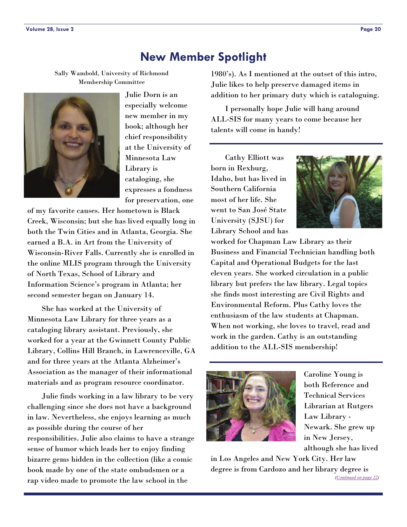# **New Member Spotlight**

<span id="page-19-0"></span>Sally Wambold, University of Richmond Membership Committee



Julie Dorn is an especially welcome new member in my book; although her chief responsibility at the University of Minnesota Law Library is cataloging, she expresses a fondness for preservation, one

of my favorite causes. Her hometown is Black Creek, Wisconsin; but she has lived equally long in both the Twin Cities and in Atlanta, Georgia. She earned a B.A. in Art from the University of Wisconsin-River Falls. Currently she is enrolled in the online MLIS program through the University of North Texas, School of Library and Information Science's program in Atlanta; her second semester began on January 14.

 She has worked at the University of Minnesota Law Library for three years as a cataloging library assistant. Previously, she worked for a year at the Gwinnett County Public Library, Collins Hill Branch, in Lawrenceville, GA and for three years at the Atlanta Alzheimer's Association as the manager of their informational materials and as program resource coordinator.

 Julie finds working in a law library to be very challenging since she does not have a background in law. Nevertheless, she enjoys learning as much as possible during the course of her responsibilities. Julie also claims to have a strange sense of humor which leads her to enjoy finding bizarre gems hidden in the collection (like a comic book made by one of the state ombudsmen or a rap video made to promote the law school in the

1980's). As I mentioned at the outset of this intro, Julie likes to help preserve damaged items in addition to her primary duty which is cataloguing.

 I personally hope Julie will hang around ALL-SIS for many years to come because her talents will come in handy!

 Cathy Elliott was born in Rexburg, Idaho, but has lived in Southern California most of her life. She went to San José State University (SJSU) for Library School and has



worked for Chapman Law Library as their Business and Financial Technician handling both Capital and Operational Budgets for the last eleven years. She worked circulation in a public library but prefers the law library. Legal topics she finds most interesting are Civil Rights and Environmental Reform. Plus Cathy loves the enthusiasm of the law students at Chapman. When not working, she loves to travel, read and work in the garden. Cathy is an outstanding addition to the ALL-SIS membership!



Caroline Young is both Reference and Technical Services Librarian at Rutgers Law Library - Newark. She grew up in New Jersey, although she has lived

in Los Angeles and New York City. Her law degree is from Cardozo and her library degree is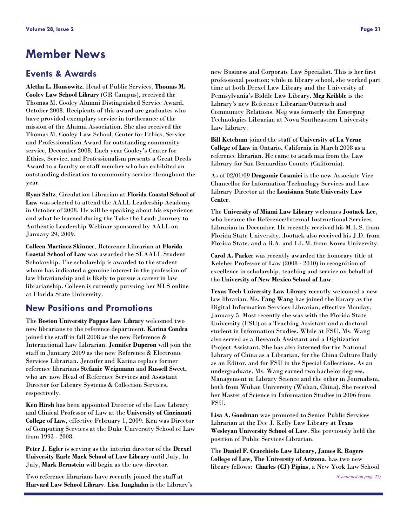# **Member News**

### **Events & Awards**

**Aletha L. Honsowitz**, Head of Public Services, **Thomas M. Cooley Law School Library** (GR Campus), received the Thomas M. Cooley Alumni Distinguished Service Award, October 2008. Recipients of this award are graduates who have provided exemplary service in furtherance of the mission of the Alumni Association. She also received the Thomas M. Cooley Law School, Center for Ethics, Service and Professionalism Award for outstanding community service, December 2008. Each year Cooley's Center for Ethics, Service, and Professionalism presents a Great Deeds Award to a faculty or staff member who has exhibited an outstanding dedication to community service throughout the year.

**Ryan Saltz**, Circulation Librarian at **Florida Coastal School of Law** was selected to attend the AALL Leadership Academy in October of 2008. He will be speaking about his experience and what he learned during the Take the Lead: Journey to Authentic Leadership Webinar sponsored by AALL on January 29, 2009.

**Colleen Martinez Skinner**, Reference Librarian at **Florida Coastal School of Law** was awarded the SEAALL Student Scholarship. The scholarship is awarded to the student whom has indicated a genuine interest in the profession of law librarianship and is likely to pursue a career in law librarianship. Colleen is currently pursuing her MLS online at Florida State University.

### **New Positions and Promotions**

The **Boston University Pappas Law Library** welcomed two new librarians to the reference department. **Karina Condra** joined the staff in fall 2008 as the new Reference & International Law Librarian. **Jennifer Duperon** will join the staff in January 2009 as the new Reference & Electronic Services Librarian. Jennifer and Karina replace former reference librarians **Stefanie Weigmann** and **Russell Sweet**, who are now Head of Reference Services and Assistant Director for Library Systems & Collection Services, respectively.

**Ken Hirsh** has been appointed Director of the Law Library and Clinical Professor of Law at the **University of Cincinnati College of Law**, effective February 1, 2009. Ken was Director of Computing Services at the Duke University School of Law from 1993 - 2008.

**Peter J. Egler** is serving as the interim director of the **Drexel University Earle Mack School of Law Library** until July. In July, **Mark Bernstein** will begin as the new director.

Two reference librarians have recently joined the staff at **Harvard Law School Library**. **Lisa Junghahn** is the Library's

new Business and Corporate Law Specialist. This is her first professional position; while in library school, she worked part time at both Drexel Law Library and the University of Pennsylvania's Biddle Law Library. **Meg Kribble** is the Library's new Reference Librarian/Outreach and Community Relations. Meg was formerly the Emerging Technologies Librarian at Nova Southeastern University Law Library.

**Bill Ketchum** joined the staff of **University of La Verne College of Law** in Ontario, California in March 2008 as a reference librarian. He came to academia from the Law Library for San Bernardino County (California).

As of 02/01/09 **Dragomir Cosanici** is the new Associate Vice Chancellor for Information Technology Services and Law Library Director at the **Louisiana State University Law Center**.

The **University of Miami Law Library** welcomes **Jootaek Lee**, who became the Reference/Internal Instructional Services Librarian in December. He recently received his M.L.S. from Florida State University. Jootaek also received his J.D. from Florida State, and a B.A. and LL.M. from Korea University.

**Carol A. Parker** was recently awarded the honorary title of Keleher Professor of Law (2008 - 2010) in recognition of excellence in scholarship, teaching and service on behalf of the **University of New Mexico School of Law**.

**Texas Tech University Law Library** recently welcomed a new law librarian. Ms. **Fang Wang** has joined the library as the Digital Information Services Librarian, effective Monday, January 5. Most recently she was with the Florida State University (FSU) as a Teaching Assistant and a doctoral student in Information Studies. While at FSU, Ms. Wang also served as a Research Assistant and a Digitization Project Assistant. She has also interned for the National Library of China as a Librarian, for the China Culture Daily as an Editor, and for FSU in the Special Collections. As an undergraduate, Ms. Wang earned two bachelor degrees, Management in Library Science and the other in Journalism, both from Wuhan University (Wuhan, China). She received her Master of Science in Information Studies in 2006 from FSU.

**Lisa A. Goodman** was promoted to Senior Public Services Librarian at the Dee J. Kelly Law Library at **Texas Wesleyan University School of Law**. She previously held the position of Public Services Librarian.

The **Daniel F. Cracchiolo Law Library, James E. Rogers College of Law, The University of Arizona**, has two new library fellows: **Charles (CJ) Pipins**, a New York Law School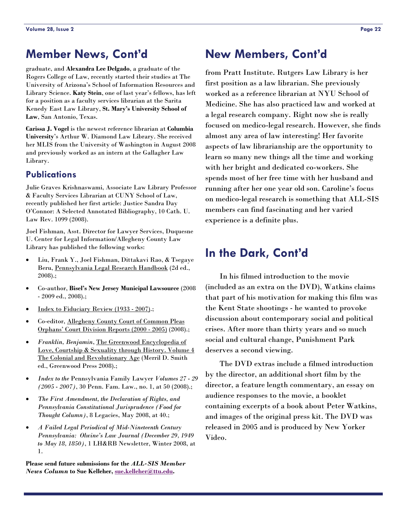# <span id="page-21-0"></span>**Member News, Cont'd**

graduate, and **Alexandra Lee Delgado**, a graduate of the Rogers College of Law, recently started their studies at The University of Arizona's School of Information Resources and Library Science. **Katy Stein**, one of last year's fellows, has left for a position as a faculty services librarian at the Sarita Kenedy East Law Library, **St. Mary's University School of Law**, San Antonio, Texas.

**Carissa J. Vogel** is the newest reference librarian at **Columbia University**'s Arthur W. Diamond Law Library. She received her MLIS from the University of Washington in August 2008 and previously worked as an intern at the Gallagher Law Library.

### **Publications**

Julie Graves Krishnaswami, Associate Law Library Professor & Faculty Services Librarian at CUNY School of Law, recently published her first article: Justice Sandra Day O'Connor: A Selected Annotated Bibliography, 10 Cath. U. Law Rev. 1099 (2008).

Joel Fishman, Asst. Director for Lawyer Services, Duquesne U. Center for Legal Information/Allegheny County Law Library has published the following works:

- Liu, Frank Y., Joel Fishman, Dittakavi Rao, & Tsegaye Beru, Pennsylvania Legal Research Handbook (2d ed., 2008).;
- Co-author, **Bisel's New Jersey Municipal Lawsource** (2008 - 2009 ed., 2008).;
- Index to Fiduciary Review (1933 2007).;
- Co-editor, Allegheny County Court of Common Pleas Orphans' Court Division Reports (2000 - 2005) (2008).;
- *Franklin, Benjamin*, The Greenwood Encyclopedia of Love, Courtship & Sexuality through History. Volume 4 The Colonial and Revolutionary Age (Merril D. Smith ed., Greenwood Press 2008).;
- *Index to the* Pennsylvania Family Lawyer *Volumes 27 29 (2005 - 2007)*, 30 Penn. Fam. Law., no. 1, at 50 (2008).;
- *The First Amendment, the Declaration of Rights, and Pennsylvania Constitutional Jurisprudence (Food for Thought Column)*, 8 Legacies, May 2008, at 40.;
- *A Failed Legal Periodical of Mid-Nineteenth Century Pennsylvania: Olwine's Law Journal (December 29, 1949 to May 18, 1850)*, 1 LH&RB Newsletter, Winter 2008, at 1.

**Please send future submissions for the** *ALL-SIS Member News Column* **to Sue Kelleher, [sue.kelleher@ttu.edu](mailto:sue.kelleher@ttu.edu).** 

# **New Members, Cont'd**

from Pratt Institute. Rutgers Law Library is her first position as a law librarian. She previously worked as a reference librarian at NYU School of Medicine. She has also practiced law and worked at a legal research company. Right now she is really focused on medico-legal research. However, she finds almost any area of law interesting! Her favorite aspects of law librarianship are the opportunity to learn so many new things all the time and working with her bright and dedicated co-workers. She spends most of her free time with her husband and running after her one year old son. Caroline's focus on medico-legal research is something that ALL-SIS members can find fascinating and her varied experience is a definite plus.

# **In the Dark, Cont'd**

 In his filmed introduction to the movie (included as an extra on the DVD), Watkins claims that part of his motivation for making this film was the Kent State shootings - he wanted to provoke discussion about contemporary social and political crises. After more than thirty years and so much social and cultural change, Punishment Park deserves a second viewing.

 The DVD extras include a filmed introduction by the director, an additional short film by the director, a feature length commentary, an essay on audience responses to the movie, a booklet containing excerpts of a book about Peter Watkins, and images of the original press kit. The DVD was released in 2005 and is produced by New Yorker Video.